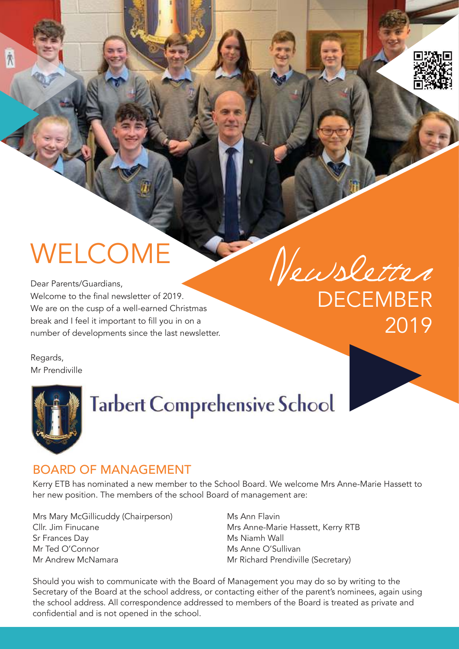# **WELCOME**

Dear Parents/Guardians, Welcome to the final newsletter of 2019. We are on the cusp of a well-earned Christmas break and I feel it important to fill you in on a number of developments since the last newsletter. Newsletter

**DECEMBER** 2019

Regards, Mr Prendiville

 $\Lambda$ 



# **Tarbert Comprehensive School**

#### Board of ManageMent

Kerry ETB has nominated a new member to the School Board. We welcome Mrs Anne-Marie Hassett to her new position. The members of the school Board of management are:

Mrs Mary McGillicuddy (Chairperson) Ms Ann Flavin Cllr. Jim Finucane **Mrs Anne-Marie Hassett, Kerry RTB** Sr Frances Day **Ms** Niamh Wall Mr Ted O'Connor **Michael Music Anne O'Sullivan** Mr Andrew McNamara Mr Richard Prendiville (Secretary)

Should you wish to communicate with the Board of Management you may do so by writing to the Secretary of the Board at the school address, or contacting either of the parent's nominees, again using the school address. All correspondence addressed to members of the Board is treated as private and confidential and is not opened in the school.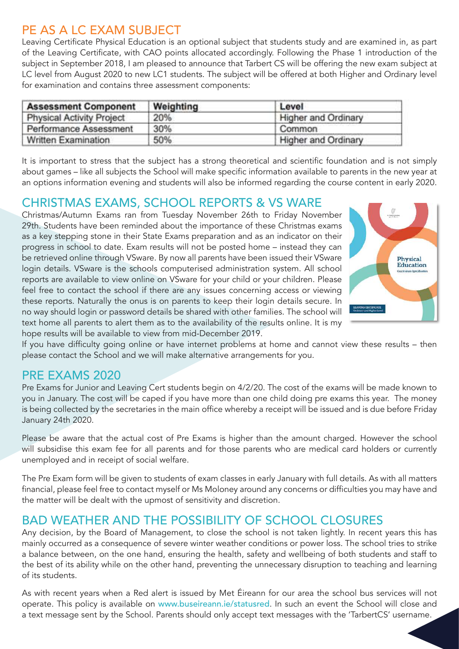## PE AS A LC EXAM SUBJECT

Leaving Certificate Physical Education is an optional subject that students study and are examined in, as part of the Leaving Certificate, with CAO points allocated accordingly. Following the Phase 1 introduction of the subject in September 2018, I am pleased to announce that Tarbert CS will be offering the new exam subject at LC level from August 2020 to new LC1 students. The subject will be offered at both Higher and Ordinary level for examination and contains three assessment components:

| <b>Assessment Component</b>      | Weighting | Level               |  |
|----------------------------------|-----------|---------------------|--|
| <b>Physical Activity Project</b> | 20%       | Higher and Ordinary |  |
| Performance Assessment           | 30%       | Common              |  |
| Written Examination              | 50%       | Higher and Ordinary |  |

It is important to stress that the subject has a strong theoretical and scientific foundation and is not simply about games – like all subjects the School will make specific information available to parents in the new year at an options information evening and students will also be informed regarding the course content in early 2020.

#### ChristMas exaMs, sChooL rePorts & Vs Ware

Christmas/Autumn Exams ran from Tuesday November 26th to Friday November 29th. Students have been reminded about the importance of these Christmas exams as a key stepping stone in their State Exams preparation and as an indicator on their progress in school to date. Exam results will not be posted home – instead they can be retrieved online through VSware. By now all parents have been issued their VSware login details. VSware is the schools computerised administration system. All school reports are available to view online on VSware for your child or your children. Please feel free to contact the school if there are any issues concerning access or viewing these reports. Naturally the onus is on parents to keep their login details secure. In no way should login or password details be shared with other families. The school will text home all parents to alert them as to the availability of the results online. It is my hope results will be available to view from mid-December 2019.



If you have difficulty going online or have internet problems at home and cannot view these results – then please contact the School and we will make alternative arrangements for you.

#### Pre exaMs 2020

Pre Exams for Junior and Leaving Cert students begin on 4/2/20. The cost of the exams will be made known to you in January. The cost will be caped if you have more than one child doing pre exams this year. The money is being collected by the secretaries in the main office whereby a receipt will be issued and is due before Friday January 24th 2020.

Please be aware that the actual cost of Pre Exams is higher than the amount charged. However the school will subsidise this exam fee for all parents and for those parents who are medical card holders or currently unemployed and in receipt of social welfare.

The Pre Exam form will be given to students of exam classes in early January with full details. As with all matters financial, please feel free to contact myself or Ms Moloney around any concerns or difficulties you may have and the matter will be dealt with the upmost of sensitivity and discretion.

#### Bad Weather and the PossiBiLity of sChooL CLosures

Any decision, by the Board of Management, to close the school is not taken lightly. In recent years this has mainly occurred as a consequence of severe winter weather conditions or power loss. The school tries to strike a balance between, on the one hand, ensuring the health, safety and wellbeing of both students and staff to the best of its ability while on the other hand, preventing the unnecessary disruption to teaching and learning of its students.

As with recent years when a Red alert is issued by Met Éireann for our area the school bus services will not operate. This policy is available on www.buseireann.ie/statusred. In such an event the School will close and a text message sent by the School. Parents should only accept text messages with the 'TarbertCS' username.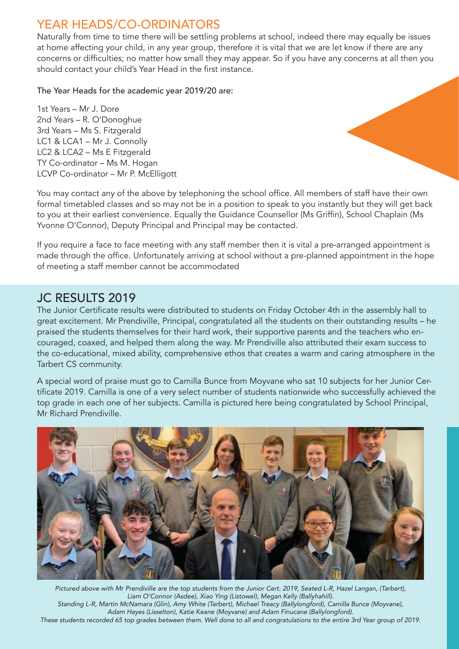#### year heads/Co-ordinators

Naturally from time to time there will be settling problems at school, indeed there may equally be issues at home affecting your child, in any year group, therefore it is vital that we are let know if there are any concerns or difficulties; no matter how small they may appear. So if you have any concerns at all then you should contact your child's Year Head in the first instance.

The Year Heads for the academic year 2019/20 are:

1st Years – Mr J. Dore 2nd Years – R. O'Donoghue 3rd Years – Ms S. Fitzgerald LC1 & LCA1 – Mr J. Connolly LC2 & LCA2 – Ms E Fitzgerald TY Co-ordinator – Ms M. Hogan LCVP Co-ordinator – Mr P. McElligott



You may contact any of the above by telephoning the school office. All members of staff have their own formal timetabled classes and so may not be in a position to speak to you instantly but they will get back to you at their earliest convenience. Equally the Guidance Counsellor (Ms Griffin), School Chaplain (Ms Yvonne O'Connor), Deputy Principal and Principal may be contacted.

If you require a face to face meeting with any staff member then it is vital a pre-arranged appointment is made through the office. Unfortunately arriving at school without a pre-planned appointment in the hope of meeting a staff member cannot be accommodated

#### JC RESULTS 2019

The Junior Certificate results were distributed to students on Friday October 4th in the assembly hall to great excitement. Mr Prendiville, Principal, congratulated all the students on their outstanding results – he praised the students themselves for their hard work, their supportive parents and the teachers who encouraged, coaxed, and helped them along the way. Mr Prendiville also attributed their exam success to the co-educational, mixed ability, comprehensive ethos that creates a warm and caring atmosphere in the Tarbert CS community.

A special word of praise must go to Camilla Bunce from Moyvane who sat 10 subjects for her Junior Certificate 2019. Camilla is one of a very select number of students nationwide who successfully achieved the top grade in each one of her subjects. Camilla is pictured here being congratulated by School Principal, Mr Richard Prendiville.



Pictured above with Mr Prendiville are the top students from the Junior Cert. 2019, Seated L-R, Hazel Langan, (Tarbert), Liam O'Connor (Asdee), Xiao Ying (Listowel), Megan Kelly (Ballyhahill). Standing L-R, Martin McNamara (Glin), Amy White (Tarbert), Michael Treacy (Ballylongford), Camilla Bunce (Moyvane), Adam Hayes (Lisselton), Katie Keane (Moyvane) and Adam Finucane (Ballylongford). These students recorded 65 top grades between them. Well done to all and congratulations to the entire 3rd Year group of 2019.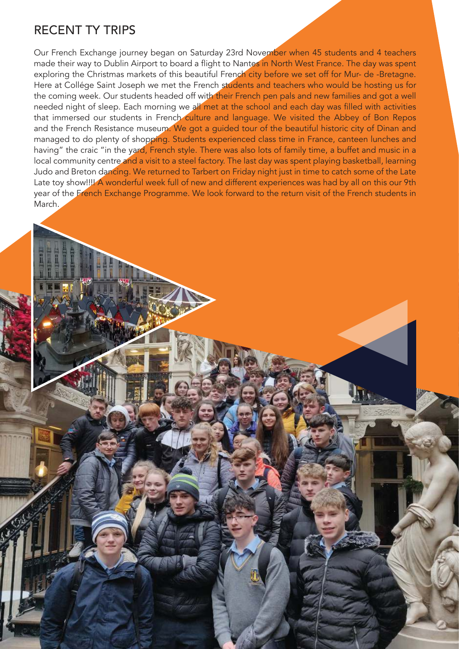#### reCent ty triPs

Our French Exchange journey began on Saturday 23rd November when 45 students and 4 teachers made their way to Dublin Airport to board a flight to Nantes in North West France. The day was spent exploring the Christmas markets of this beautiful French city before we set off for Mur- de -Bretagne. Here at Collége Saint Joseph we met the French students and teachers who would be hosting us for the coming week. Our students headed off with their French pen pals and new families and got a well needed night of sleep. Each morning we all met at the school and each day was filled with activities that immersed our students in French culture and language. We visited the Abbey of Bon Repos and the French Resistance museum. We got a guided tour of the beautiful historic city of Dinan and managed to do plenty of shopping. Students experienced class time in France, canteen lunches and having" the craic "in the yard, French style. There was also lots of family time, a buffet and music in a local community centre and a visit to a steel factory. The last day was spent playing basketball, learning Judo and Breton dancing. We returned to Tarbert on Friday night just in time to catch some of the Late Late toy show!!!! A wonderful week full of new and different experiences was had by all on this our 9th year of the French Exchange Programme. We look forward to the return visit of the French students in March.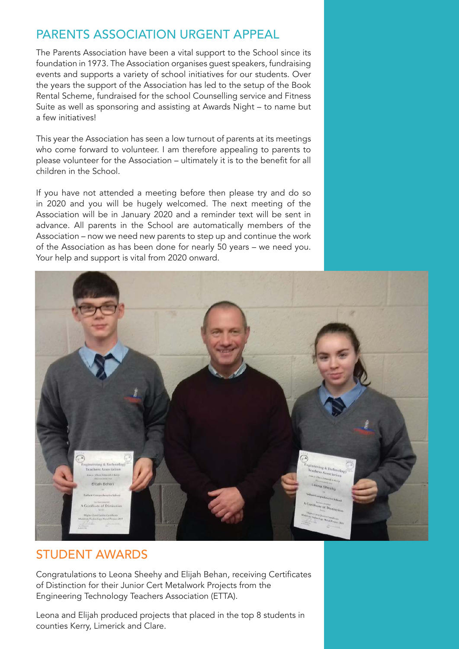## Parents assoCiation urgent aPPeaL

The Parents Association have been a vital support to the School since its foundation in 1973. The Association organises guest speakers, fundraising events and supports a variety of school initiatives for our students. Over the years the support of the Association has led to the setup of the Book Rental Scheme, fundraised for the school Counselling service and Fitness Suite as well as sponsoring and assisting at Awards Night – to name but a few initiatives!

This year the Association has seen a low turnout of parents at its meetings who come forward to volunteer. I am therefore appealing to parents to please volunteer for the Association – ultimately it is to the benefit for all children in the School.

If you have not attended a meeting before then please try and do so in 2020 and you will be hugely welcomed. The next meeting of the Association will be in January 2020 and a reminder text will be sent in advance. All parents in the School are automatically members of the Association – now we need new parents to step up and continue the work of the Association as has been done for nearly 50 years – we need you. Your help and support is vital from 2020 onward.



#### student aWards

Congratulations to Leona Sheehy and Elijah Behan, receiving Certificates of Distinction for their Junior Cert Metalwork Projects from the Engineering Technology Teachers Association (ETTA).

Leona and Elijah produced projects that placed in the top 8 students in counties Kerry, Limerick and Clare.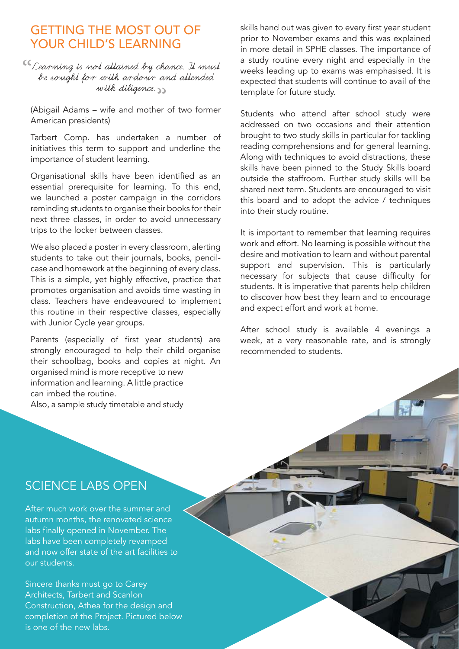#### getting the Most out of YOUR CHILD'S LEARNING

<sup>CC</sup> Learning is not attained by chance. It must be sought for with ardour and attended with diligence. "

(Abigail Adams – wife and mother of two former American presidents)

Tarbert Comp. has undertaken a number of initiatives this term to support and underline the importance of student learning.

Organisational skills have been identified as an essential prerequisite for learning. To this end, we launched a poster campaign in the corridors reminding students to organise their books for their next three classes, in order to avoid unnecessary trips to the locker between classes.

We also placed a poster in every classroom, alerting students to take out their journals, books, pencilcase and homework at the beginning of every class. This is a simple, yet highly effective, practice that promotes organisation and avoids time wasting in class. Teachers have endeavoured to implement this routine in their respective classes, especially with Junior Cycle year groups.

Parents (especially of first year students) are strongly encouraged to help their child organise their schoolbag, books and copies at night. An organised mind is more receptive to new information and learning. A little practice can imbed the routine.

Also, a sample study timetable and study

skills hand out was given to every first year student prior to November exams and this was explained in more detail in SPHE classes. The importance of a study routine every night and especially in the weeks leading up to exams was emphasised. It is expected that students will continue to avail of the template for future study.

Students who attend after school study were addressed on two occasions and their attention brought to two study skills in particular for tackling reading comprehensions and for general learning. Along with techniques to avoid distractions, these skills have been pinned to the Study Skills board outside the staffroom. Further study skills will be shared next term. Students are encouraged to visit this board and to adopt the advice / techniques into their study routine.

It is important to remember that learning requires work and effort. No learning is possible without the desire and motivation to learn and without parental support and supervision. This is particularly necessary for subjects that cause difficulty for students. It is imperative that parents help children to discover how best they learn and to encourage and expect effort and work at home.

After school study is available 4 evenings a week, at a very reasonable rate, and is strongly recommended to students.

#### SCIENCE LABS OPEN

After much work over the summer and autumn months, the renovated science labs finally opened in November. The labs have been completely revamped and now offer state of the art facilities to our students.

Sincere thanks must go to Carey Architects, Tarbert and Scanlon Construction, Athea for the design and completion of the Project. Pictured below is one of the new labs.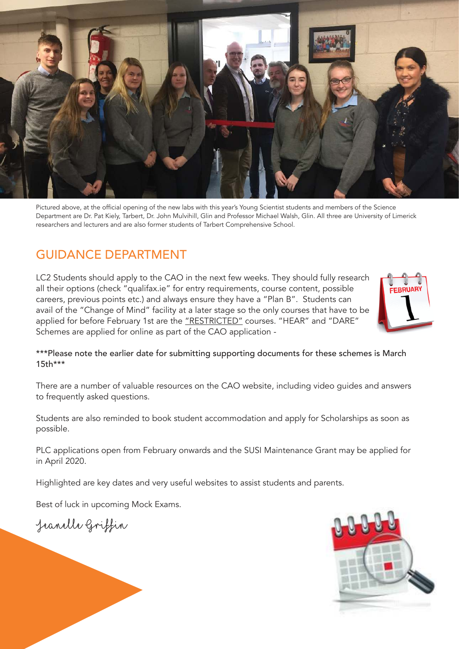

Pictured above, at the official opening of the new labs with this year's Young Scientist students and members of the Science Department are Dr. Pat Kiely, Tarbert, Dr. John Mulvihill, Glin and Professor Michael Walsh, Glin. All three are University of Limerick researchers and lecturers and are also former students of Tarbert Comprehensive School.

#### guidanCe dePartMent

LC2 Students should apply to the CAO in the next few weeks. They should fully research all their options (check "qualifax.ie" for entry requirements, course content, possible careers, previous points etc.) and always ensure they have a "Plan B". Students can avail of the "Change of Mind" facility at a later stage so the only courses that have to be applied for before February 1st are the "RESTRICTED" courses. "HEAR" and "DARE" Schemes are applied for online as part of the CAO application -



\*\*\*Please note the earlier date for submitting supporting documents for these schemes is March 15th\*\*\*

There are a number of valuable resources on the CAO website, including video guides and answers to frequently asked questions.

Students are also reminded to book student accommodation and apply for Scholarships as soon as possible.

PLC applications open from February onwards and the SUSI Maintenance Grant may be applied for in April 2020.

Highlighted are key dates and very useful websites to assist students and parents.

Best of luck in upcoming Mock Exams.

Jeanelle Griffin